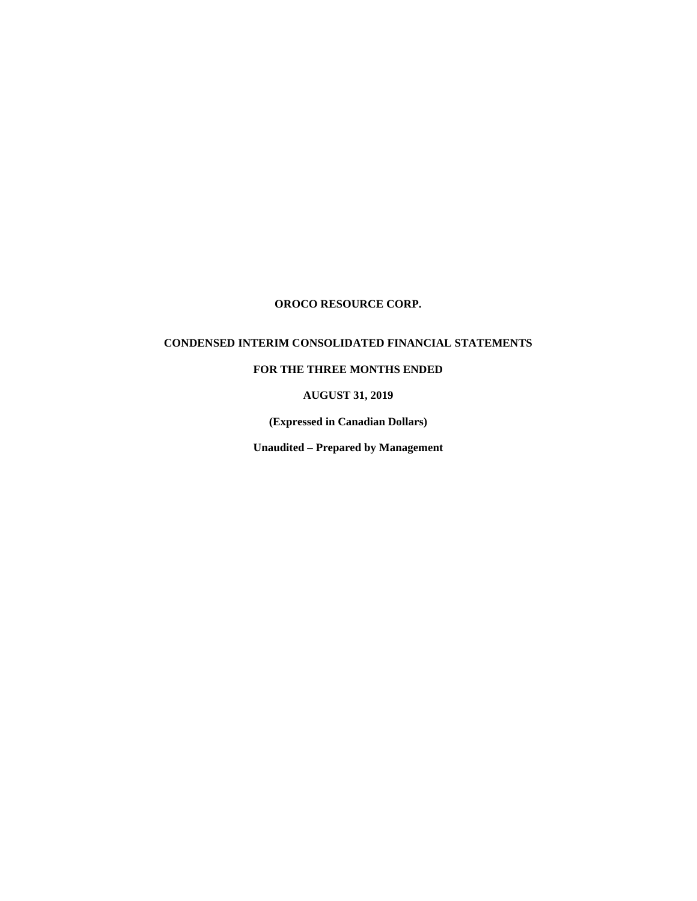# **CONDENSED INTERIM CONSOLIDATED FINANCIAL STATEMENTS**

# **FOR THE THREE MONTHS ENDED**

**AUGUST 31, 2019**

**(Expressed in Canadian Dollars)**

**Unaudited – Prepared by Management**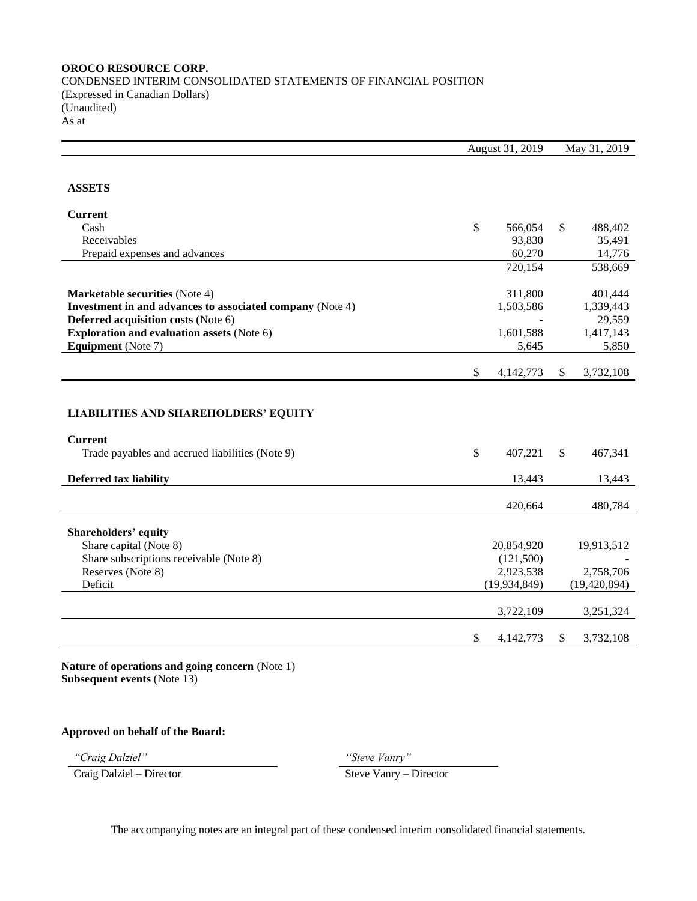CONDENSED INTERIM CONSOLIDATED STATEMENTS OF FINANCIAL POSITION (Expressed in Canadian Dollars) (Unaudited) As at

|                                                                   |               | August 31, 2019 |              | May 31, 2019   |
|-------------------------------------------------------------------|---------------|-----------------|--------------|----------------|
|                                                                   |               |                 |              |                |
| <b>ASSETS</b>                                                     |               |                 |              |                |
| <b>Current</b>                                                    |               |                 |              |                |
| Cash                                                              | \$            | 566,054         | \$           | 488,402        |
| Receivables                                                       |               | 93,830          |              | 35,491         |
| Prepaid expenses and advances                                     |               | 60,270          |              | 14,776         |
|                                                                   |               | 720,154         |              | 538,669        |
| <b>Marketable securities (Note 4)</b>                             |               | 311,800         |              | 401,444        |
| Investment in and advances to associated company (Note 4)         |               | 1,503,586       |              | 1,339,443      |
| Deferred acquisition costs (Note 6)                               |               |                 |              | 29,559         |
| <b>Exploration and evaluation assets (Note 6)</b>                 |               | 1,601,588       |              | 1,417,143      |
| <b>Equipment</b> (Note 7)                                         |               | 5,645           |              | 5,850          |
|                                                                   | \$            | 4,142,773       | \$           | 3,732,108      |
| <b>LIABILITIES AND SHAREHOLDERS' EQUITY</b>                       |               |                 |              |                |
| <b>Current</b><br>Trade payables and accrued liabilities (Note 9) | $\mathsf{\$}$ | 407,221         | $\mathbb{S}$ | 467,341        |
| <b>Deferred tax liability</b>                                     |               | 13,443          |              | 13,443         |
|                                                                   |               | 420,664         |              | 480,784        |
| Shareholders' equity                                              |               |                 |              |                |
| Share capital (Note 8)                                            |               | 20,854,920      |              | 19,913,512     |
| Share subscriptions receivable (Note 8)                           |               | (121,500)       |              |                |
| Reserves (Note 8)                                                 |               | 2,923,538       |              | 2,758,706      |
| Deficit                                                           |               | (19, 934, 849)  |              | (19, 420, 894) |
|                                                                   |               | 3,722,109       |              | 3,251,324      |
|                                                                   | \$            | 4,142,773       | \$           | 3,732,108      |

**Nature of operations and going concern** (Note 1) **Subsequent events** (Note 13)

# **Approved on behalf of the Board:**

Craig Dalziel – Director Steve Vanry – Director

*"Craig Dalziel" "Steve Vanry"*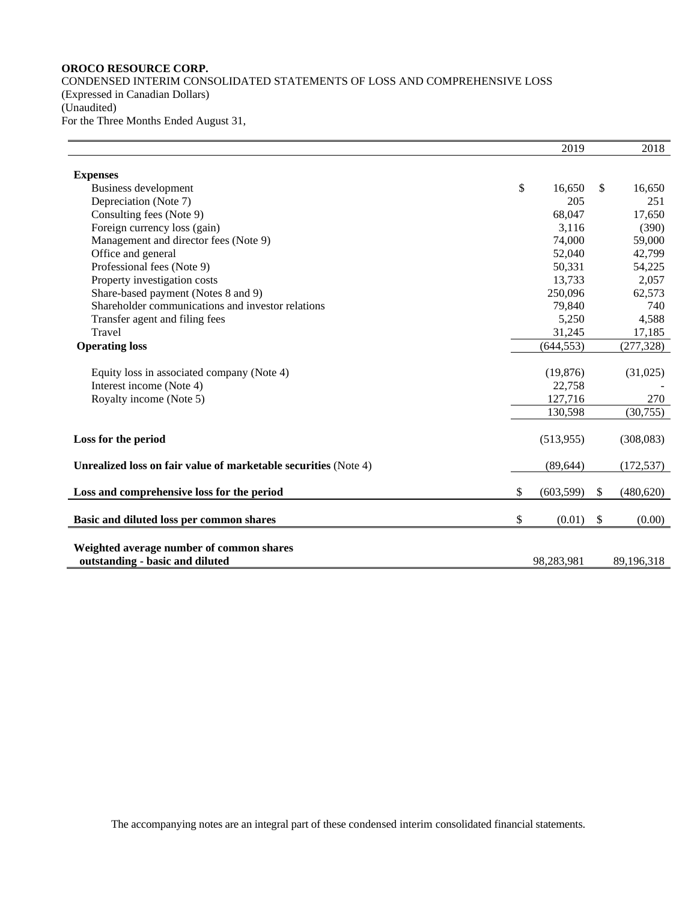CONDENSED INTERIM CONSOLIDATED STATEMENTS OF LOSS AND COMPREHENSIVE LOSS (Expressed in Canadian Dollars) (Unaudited) For the Three Months Ended August 31,

|                                                                 | 2019             |              | 2018       |
|-----------------------------------------------------------------|------------------|--------------|------------|
|                                                                 |                  |              |            |
| <b>Expenses</b><br>Business development                         | \$<br>16,650     | \$           | 16,650     |
|                                                                 | 205              |              | 251        |
| Depreciation (Note 7)                                           |                  |              |            |
| Consulting fees (Note 9)                                        | 68,047           |              | 17,650     |
| Foreign currency loss (gain)                                    | 3,116            |              | (390)      |
| Management and director fees (Note 9)                           | 74,000           |              | 59,000     |
| Office and general                                              | 52,040           |              | 42,799     |
| Professional fees (Note 9)                                      | 50,331           |              | 54,225     |
| Property investigation costs                                    | 13,733           |              | 2,057      |
| Share-based payment (Notes 8 and 9)                             | 250,096          |              | 62,573     |
| Shareholder communications and investor relations               | 79,840           |              | 740        |
| Transfer agent and filing fees                                  | 5,250            |              | 4,588      |
| Travel                                                          | 31,245           |              | 17,185     |
| <b>Operating loss</b>                                           | (644, 553)       |              | (277, 328) |
|                                                                 |                  |              |            |
| Equity loss in associated company (Note 4)                      | (19, 876)        |              | (31,025)   |
| Interest income (Note 4)                                        | 22,758           |              |            |
| Royalty income (Note 5)                                         | 127,716          |              | 270        |
|                                                                 | 130,598          |              | (30,755)   |
|                                                                 |                  |              |            |
| Loss for the period                                             | (513, 955)       |              | (308, 083) |
|                                                                 |                  |              |            |
| Unrealized loss on fair value of marketable securities (Note 4) | (89, 644)        |              | (172, 537) |
|                                                                 |                  |              |            |
| Loss and comprehensive loss for the period                      | \$<br>(603, 599) | \$           | (480, 620) |
| Basic and diluted loss per common shares                        | \$<br>(0.01)     | $\mathbb{S}$ | (0.00)     |
|                                                                 |                  |              |            |
|                                                                 |                  |              |            |
| Weighted average number of common shares                        |                  |              |            |
| outstanding - basic and diluted                                 | 98,283,981       |              | 89,196,318 |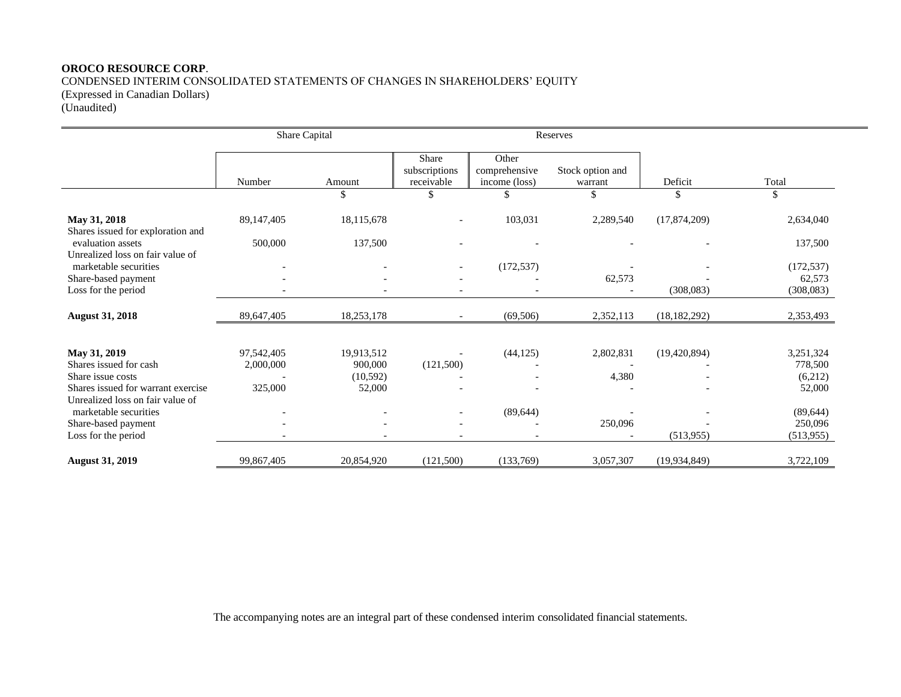## **OROCO RESOURCE CORP**. CONDENSED INTERIM CONSOLIDATED STATEMENTS OF CHANGES IN SHAREHOLDERS' EQUITY (Expressed in Canadian Dollars)

(Unaudited)

|                                                                        | Share Capital            |            |                                      |                                         | Reserves                    |                |            |
|------------------------------------------------------------------------|--------------------------|------------|--------------------------------------|-----------------------------------------|-----------------------------|----------------|------------|
|                                                                        | Number                   | Amount     | Share<br>subscriptions<br>receivable | Other<br>comprehensive<br>income (loss) | Stock option and<br>warrant | Deficit        | Total      |
|                                                                        |                          | \$         | \$                                   | \$                                      | \$                          | \$             | \$         |
| May 31, 2018<br>Shares issued for exploration and                      | 89,147,405               | 18,115,678 |                                      | 103,031                                 | 2,289,540                   | (17,874,209)   | 2,634,040  |
| evaluation assets<br>Unrealized loss on fair value of                  | 500,000                  | 137,500    |                                      |                                         |                             |                | 137,500    |
| marketable securities                                                  |                          |            |                                      | (172, 537)                              |                             |                | (172, 537) |
| Share-based payment                                                    |                          |            |                                      |                                         | 62,573                      |                | 62,573     |
| Loss for the period                                                    |                          |            |                                      |                                         |                             | (308,083)      | (308, 083) |
| <b>August 31, 2018</b>                                                 | 89,647,405               | 18,253,178 |                                      | (69, 506)                               | 2,352,113                   | (18, 182, 292) | 2,353,493  |
| May 31, 2019                                                           | 97,542,405               | 19,913,512 |                                      | (44, 125)                               | 2,802,831                   | (19,420,894)   | 3,251,324  |
| Shares issued for cash                                                 | 2,000,000                | 900,000    | (121,500)                            |                                         |                             |                | 778,500    |
| Share issue costs                                                      |                          | (10,592)   |                                      |                                         | 4,380                       |                | (6,212)    |
| Shares issued for warrant exercise<br>Unrealized loss on fair value of | 325,000                  | 52,000     |                                      |                                         |                             |                | 52,000     |
| marketable securities                                                  | $\overline{\phantom{a}}$ |            | $\overline{\phantom{a}}$             | (89, 644)                               |                             |                | (89, 644)  |
| Share-based payment                                                    |                          |            |                                      |                                         | 250,096                     |                | 250,096    |
| Loss for the period                                                    |                          |            |                                      |                                         |                             | (513, 955)     | (513, 955) |
| <b>August 31, 2019</b>                                                 | 99,867,405               | 20,854,920 | (121,500)                            | (133,769)                               | 3,057,307                   | (19, 934, 849) | 3,722,109  |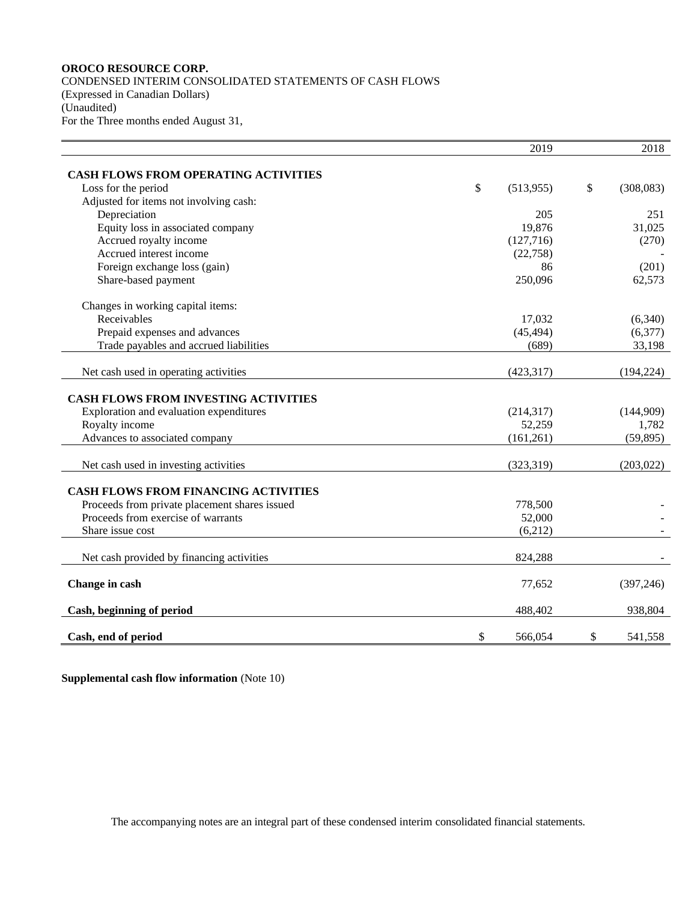CONDENSED INTERIM CONSOLIDATED STATEMENTS OF CASH FLOWS (Expressed in Canadian Dollars) (Unaudited) For the Three months ended August 31,

|                                               |              | 2019           | 2018            |
|-----------------------------------------------|--------------|----------------|-----------------|
| <b>CASH FLOWS FROM OPERATING ACTIVITIES</b>   |              |                |                 |
| Loss for the period                           | $\mathbb{S}$ | (513, 955)     | \$<br>(308,083) |
| Adjusted for items not involving cash:        |              |                |                 |
| Depreciation                                  |              | 205            | 251             |
| Equity loss in associated company             |              | 19,876         | 31,025          |
| Accrued royalty income                        |              |                |                 |
| Accrued interest income                       |              | (127,716)      | (270)           |
|                                               |              | (22,758)<br>86 |                 |
| Foreign exchange loss (gain)                  |              |                | (201)           |
| Share-based payment                           |              | 250,096        | 62,573          |
| Changes in working capital items:             |              |                |                 |
| Receivables                                   |              | 17,032         | (6,340)         |
| Prepaid expenses and advances                 |              | (45, 494)      | (6,377)         |
| Trade payables and accrued liabilities        |              | (689)          | 33,198          |
| Net cash used in operating activities         |              | (423, 317)     | (194, 224)      |
|                                               |              |                |                 |
| <b>CASH FLOWS FROM INVESTING ACTIVITIES</b>   |              |                |                 |
| Exploration and evaluation expenditures       |              | (214, 317)     | (144,909)       |
| Royalty income                                |              | 52,259         | 1,782           |
| Advances to associated company                |              | (161,261)      | (59, 895)       |
| Net cash used in investing activities         |              | (323, 319)     | (203, 022)      |
|                                               |              |                |                 |
| <b>CASH FLOWS FROM FINANCING ACTIVITIES</b>   |              |                |                 |
| Proceeds from private placement shares issued |              | 778,500        |                 |
| Proceeds from exercise of warrants            |              | 52,000         |                 |
| Share issue cost                              |              | (6,212)        |                 |
| Net cash provided by financing activities     |              | 824,288        |                 |
|                                               |              |                |                 |
| Change in cash                                |              | 77,652         | (397, 246)      |
| Cash, beginning of period                     |              | 488,402        | 938,804         |
|                                               | \$           | 566,054        |                 |
| Cash, end of period                           |              |                | \$<br>541,558   |

**Supplemental cash flow information** (Note 10)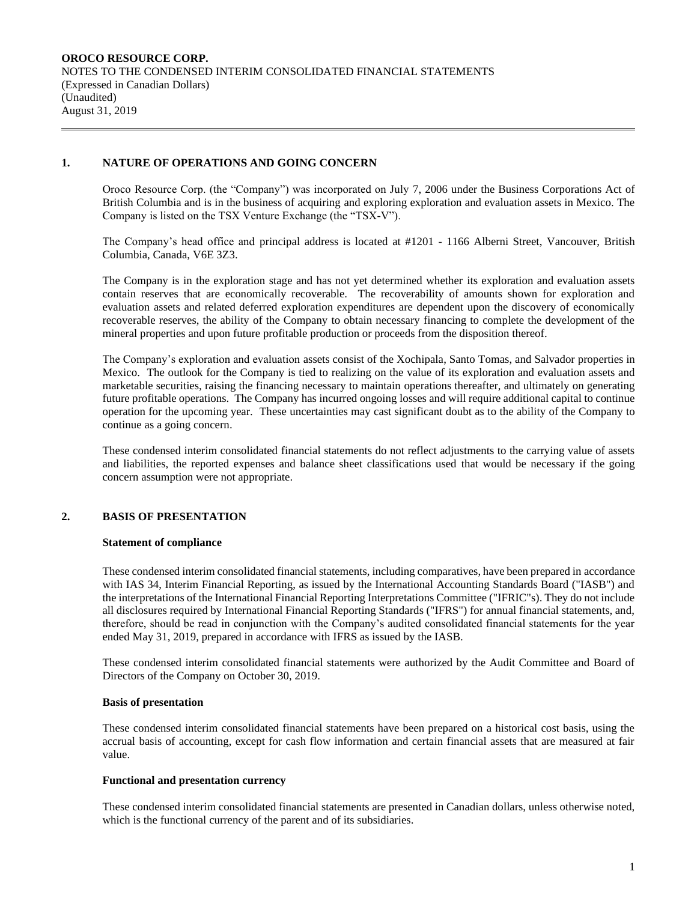## **1. NATURE OF OPERATIONS AND GOING CONCERN**

Oroco Resource Corp. (the "Company") was incorporated on July 7, 2006 under the Business Corporations Act of British Columbia and is in the business of acquiring and exploring exploration and evaluation assets in Mexico. The Company is listed on the TSX Venture Exchange (the "TSX-V").

The Company's head office and principal address is located at #1201 - 1166 Alberni Street, Vancouver, British Columbia, Canada, V6E 3Z3.

The Company is in the exploration stage and has not yet determined whether its exploration and evaluation assets contain reserves that are economically recoverable. The recoverability of amounts shown for exploration and evaluation assets and related deferred exploration expenditures are dependent upon the discovery of economically recoverable reserves, the ability of the Company to obtain necessary financing to complete the development of the mineral properties and upon future profitable production or proceeds from the disposition thereof.

The Company's exploration and evaluation assets consist of the Xochipala, Santo Tomas, and Salvador properties in Mexico. The outlook for the Company is tied to realizing on the value of its exploration and evaluation assets and marketable securities, raising the financing necessary to maintain operations thereafter, and ultimately on generating future profitable operations. The Company has incurred ongoing losses and will require additional capital to continue operation for the upcoming year. These uncertainties may cast significant doubt as to the ability of the Company to continue as a going concern.

These condensed interim consolidated financial statements do not reflect adjustments to the carrying value of assets and liabilities, the reported expenses and balance sheet classifications used that would be necessary if the going concern assumption were not appropriate.

## **2. BASIS OF PRESENTATION**

#### **Statement of compliance**

These condensed interim consolidated financial statements, including comparatives, have been prepared in accordance with IAS 34, Interim Financial Reporting, as issued by the International Accounting Standards Board ("IASB") and the interpretations of the International Financial Reporting Interpretations Committee ("IFRIC"s). They do not include all disclosures required by International Financial Reporting Standards ("IFRS") for annual financial statements, and, therefore, should be read in conjunction with the Company's audited consolidated financial statements for the year ended May 31, 2019, prepared in accordance with IFRS as issued by the IASB.

These condensed interim consolidated financial statements were authorized by the Audit Committee and Board of Directors of the Company on October 30, 2019.

#### **Basis of presentation**

These condensed interim consolidated financial statements have been prepared on a historical cost basis, using the accrual basis of accounting, except for cash flow information and certain financial assets that are measured at fair value.

#### **Functional and presentation currency**

These condensed interim consolidated financial statements are presented in Canadian dollars, unless otherwise noted, which is the functional currency of the parent and of its subsidiaries.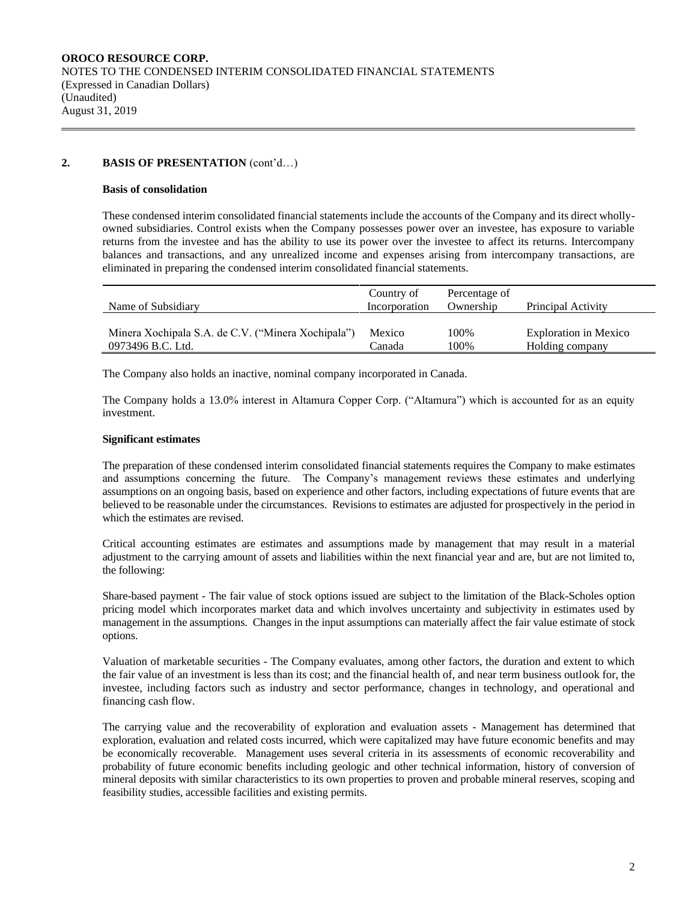## **2. BASIS OF PRESENTATION** (cont'd…)

#### **Basis of consolidation**

These condensed interim consolidated financial statements include the accounts of the Company and its direct whollyowned subsidiaries. Control exists when the Company possesses power over an investee, has exposure to variable returns from the investee and has the ability to use its power over the investee to affect its returns. Intercompany balances and transactions, and any unrealized income and expenses arising from intercompany transactions, are eliminated in preparing the condensed interim consolidated financial statements.

| Name of Subsidiary                                 | Country of<br>Incorporation | Percentage of<br>Ownership | Principal Activity           |
|----------------------------------------------------|-----------------------------|----------------------------|------------------------------|
| Minera Xochipala S.A. de C.V. ("Minera Xochipala") | Mexico                      | 100%                       | <b>Exploration in Mexico</b> |
| 0973496 B.C. Ltd.                                  | Canada                      | 100%                       | Holding company              |

The Company also holds an inactive, nominal company incorporated in Canada.

The Company holds a 13.0% interest in Altamura Copper Corp. ("Altamura") which is accounted for as an equity investment.

## **Significant estimates**

The preparation of these condensed interim consolidated financial statements requires the Company to make estimates and assumptions concerning the future. The Company's management reviews these estimates and underlying assumptions on an ongoing basis, based on experience and other factors, including expectations of future events that are believed to be reasonable under the circumstances. Revisions to estimates are adjusted for prospectively in the period in which the estimates are revised.

Critical accounting estimates are estimates and assumptions made by management that may result in a material adjustment to the carrying amount of assets and liabilities within the next financial year and are, but are not limited to, the following:

Share-based payment - The fair value of stock options issued are subject to the limitation of the Black-Scholes option pricing model which incorporates market data and which involves uncertainty and subjectivity in estimates used by management in the assumptions. Changes in the input assumptions can materially affect the fair value estimate of stock options.

Valuation of marketable securities - The Company evaluates, among other factors, the duration and extent to which the fair value of an investment is less than its cost; and the financial health of, and near term business outlook for, the investee, including factors such as industry and sector performance, changes in technology, and operational and financing cash flow.

The carrying value and the recoverability of exploration and evaluation assets - Management has determined that exploration, evaluation and related costs incurred, which were capitalized may have future economic benefits and may be economically recoverable. Management uses several criteria in its assessments of economic recoverability and probability of future economic benefits including geologic and other technical information, history of conversion of mineral deposits with similar characteristics to its own properties to proven and probable mineral reserves, scoping and feasibility studies, accessible facilities and existing permits.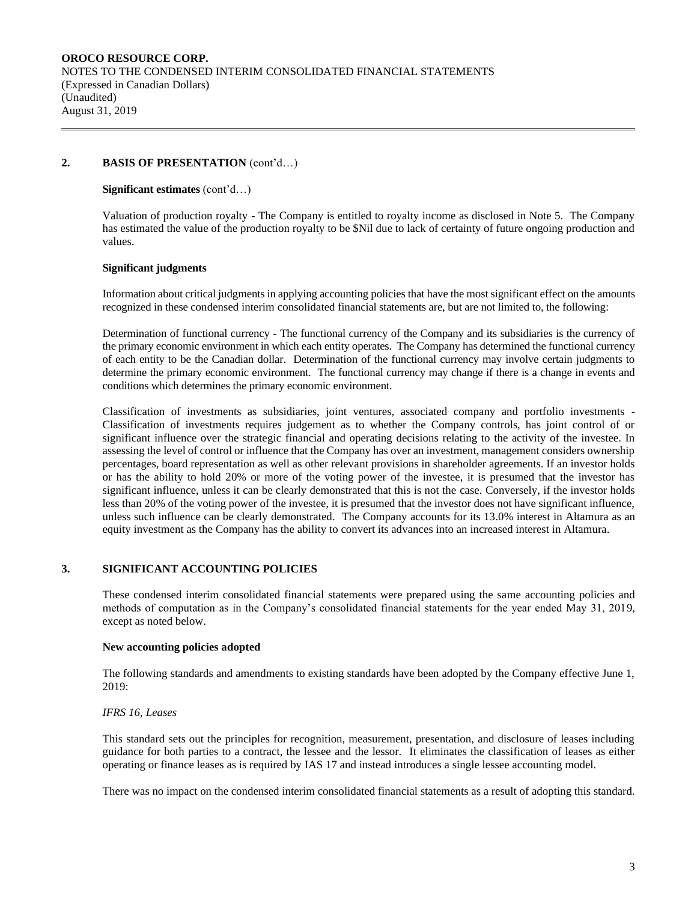### **2. BASIS OF PRESENTATION** (cont'd…)

#### **Significant estimates** (cont'd…)

Valuation of production royalty - The Company is entitled to royalty income as disclosed in Note 5. The Company has estimated the value of the production royalty to be \$Nil due to lack of certainty of future ongoing production and values.

#### **Significant judgments**

Information about critical judgments in applying accounting policies that have the most significant effect on the amounts recognized in these condensed interim consolidated financial statements are, but are not limited to, the following:

Determination of functional currency - The functional currency of the Company and its subsidiaries is the currency of the primary economic environment in which each entity operates. The Company has determined the functional currency of each entity to be the Canadian dollar. Determination of the functional currency may involve certain judgments to determine the primary economic environment. The functional currency may change if there is a change in events and conditions which determines the primary economic environment.

Classification of investments as subsidiaries, joint ventures, associated company and portfolio investments - Classification of investments requires judgement as to whether the Company controls, has joint control of or significant influence over the strategic financial and operating decisions relating to the activity of the investee. In assessing the level of control or influence that the Company has over an investment, management considers ownership percentages, board representation as well as other relevant provisions in shareholder agreements. If an investor holds or has the ability to hold 20% or more of the voting power of the investee, it is presumed that the investor has significant influence, unless it can be clearly demonstrated that this is not the case. Conversely, if the investor holds less than 20% of the voting power of the investee, it is presumed that the investor does not have significant influence, unless such influence can be clearly demonstrated. The Company accounts for its 13.0% interest in Altamura as an equity investment as the Company has the ability to convert its advances into an increased interest in Altamura.

## **3. SIGNIFICANT ACCOUNTING POLICIES**

These condensed interim consolidated financial statements were prepared using the same accounting policies and methods of computation as in the Company's consolidated financial statements for the year ended May 31, 2019, except as noted below.

#### **New accounting policies adopted**

The following standards and amendments to existing standards have been adopted by the Company effective June 1, 2019:

## *IFRS 16, Leases*

This standard sets out the principles for recognition, measurement, presentation, and disclosure of leases including guidance for both parties to a contract, the lessee and the lessor. It eliminates the classification of leases as either operating or finance leases as is required by IAS 17 and instead introduces a single lessee accounting model.

There was no impact on the condensed interim consolidated financial statements as a result of adopting this standard.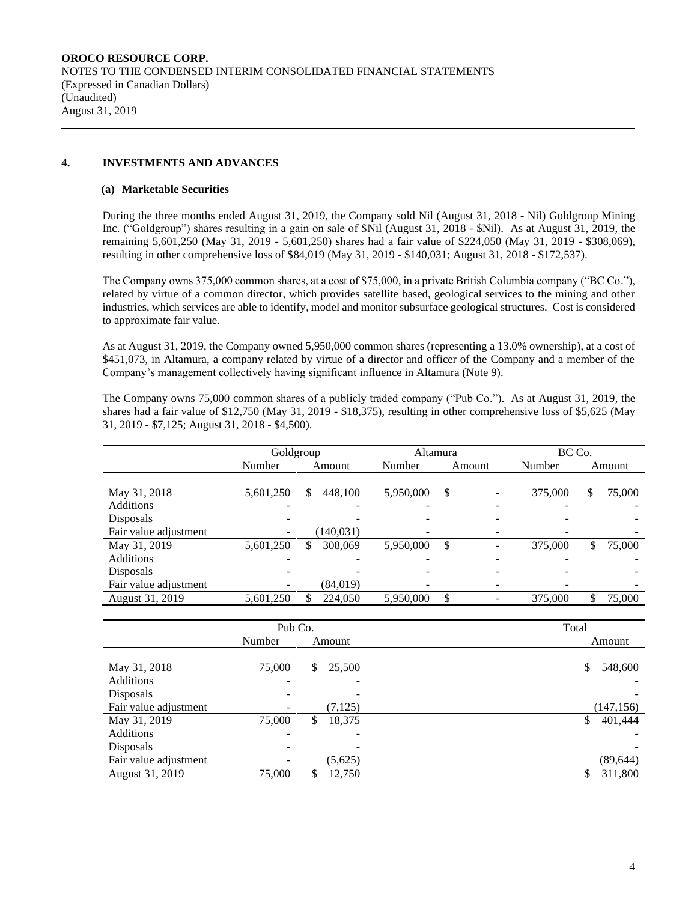## **4. INVESTMENTS AND ADVANCES**

#### **(a) Marketable Securities**

During the three months ended August 31, 2019, the Company sold Nil (August 31, 2018 - Nil) Goldgroup Mining Inc. ("Goldgroup") shares resulting in a gain on sale of \$Nil (August 31, 2018 - \$Nil). As at August 31, 2019, the remaining 5,601,250 (May 31, 2019 - 5,601,250) shares had a fair value of \$224,050 (May 31, 2019 - \$308,069), resulting in other comprehensive loss of \$84,019 (May 31, 2019 - \$140,031; August 31, 2018 - \$172,537).

The Company owns 375,000 common shares, at a cost of \$75,000, in a private British Columbia company ("BC Co."), related by virtue of a common director, which provides satellite based, geological services to the mining and other industries, which services are able to identify, model and monitor subsurface geological structures. Cost is considered to approximate fair value.

As at August 31, 2019, the Company owned 5,950,000 common shares (representing a 13.0% ownership), at a cost of \$451,073, in Altamura, a company related by virtue of a director and officer of the Company and a member of the Company's management collectively having significant influence in Altamura (Note 9).

The Company owns 75,000 common shares of a publicly traded company ("Pub Co."). As at August 31, 2019, the shares had a fair value of \$12,750 (May 31, 2019 - \$18,375), resulting in other comprehensive loss of \$5,625 (May 31, 2019 - \$7,125; August 31, 2018 - \$4,500).

|                       | Goldgroup |               |           | Altamura                 | BC Co.  |              |  |  |
|-----------------------|-----------|---------------|-----------|--------------------------|---------|--------------|--|--|
|                       | Number    | Amount        |           | Amount                   | Number  | Amount       |  |  |
|                       |           |               |           |                          |         |              |  |  |
| May 31, 2018          | 5,601,250 | \$<br>448,100 | 5,950,000 | \$<br>۰                  | 375,000 | 75,000<br>\$ |  |  |
| <b>Additions</b>      |           |               |           |                          |         |              |  |  |
| Disposals             |           |               |           |                          |         |              |  |  |
| Fair value adjustment | -         | (140, 031)    |           | $\overline{\phantom{0}}$ |         |              |  |  |
| May 31, 2019          | 5,601,250 | \$<br>308,069 | 5,950,000 | \$<br>-                  | 375,000 | \$<br>75,000 |  |  |
| <b>Additions</b>      |           |               |           |                          |         |              |  |  |
| Disposals             |           |               |           | -                        |         |              |  |  |
| Fair value adjustment |           | (84, 019)     |           | -                        |         |              |  |  |
| August 31, 2019       | 5,601,250 | \$<br>224,050 | 5,950,000 | \$<br>۰                  | 375,000 | 75,000       |  |  |

|                       | Pub Co. | Total |          |               |
|-----------------------|---------|-------|----------|---------------|
|                       | Number  |       | Amount   | Amount        |
|                       |         |       |          |               |
| May 31, 2018          | 75,000  | S.    | 25,500   | 548,600<br>\$ |
| <b>Additions</b>      | ۰       |       |          |               |
| Disposals             |         |       |          |               |
| Fair value adjustment |         |       | (7, 125) | (147, 156)    |
| May 31, 2019          | 75,000  | \$    | 18,375   | \$<br>401,444 |
| Additions             | ۰       |       |          |               |
| Disposals             |         |       |          |               |
| Fair value adjustment |         |       | (5,625)  | (89, 644)     |
| August 31, 2019       | 75,000  |       | 12,750   | 311,800       |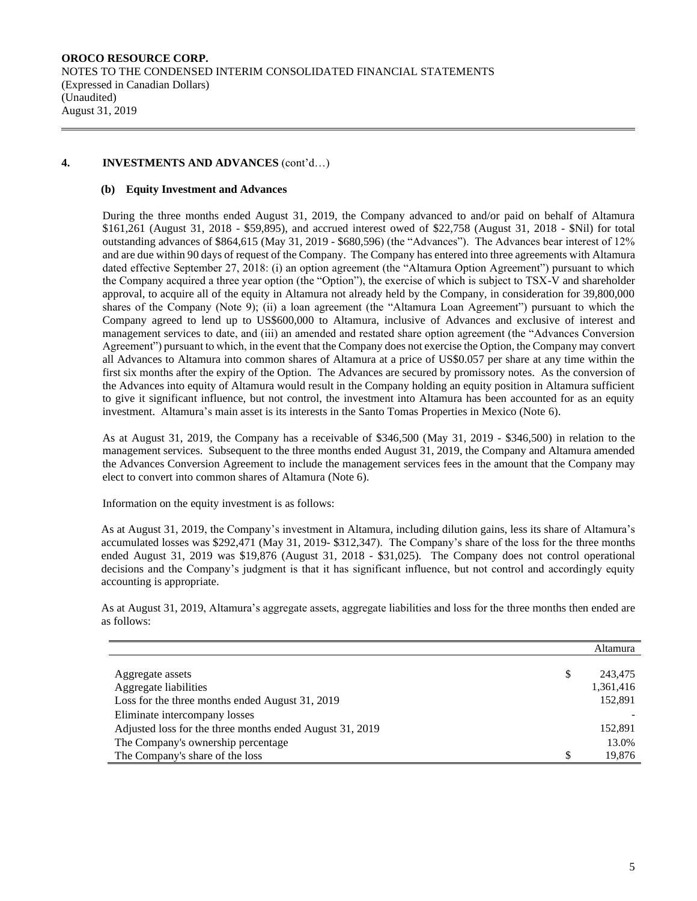## **4. INVESTMENTS AND ADVANCES** (cont'd…)

#### **(b) Equity Investment and Advances**

During the three months ended August 31, 2019, the Company advanced to and/or paid on behalf of Altamura \$161,261 (August 31, 2018 - \$59,895), and accrued interest owed of \$22,758 (August 31, 2018 - \$Nil) for total outstanding advances of \$864,615 (May 31, 2019 - \$680,596) (the "Advances"). The Advances bear interest of 12% and are due within 90 days of request of the Company. The Company has entered into three agreements with Altamura dated effective September 27, 2018: (i) an option agreement (the "Altamura Option Agreement") pursuant to which the Company acquired a three year option (the "Option"), the exercise of which is subject to TSX-V and shareholder approval, to acquire all of the equity in Altamura not already held by the Company, in consideration for 39,800,000 shares of the Company (Note 9); (ii) a loan agreement (the "Altamura Loan Agreement") pursuant to which the Company agreed to lend up to US\$600,000 to Altamura, inclusive of Advances and exclusive of interest and management services to date, and (iii) an amended and restated share option agreement (the "Advances Conversion Agreement") pursuant to which, in the event that the Company does not exercise the Option, the Company may convert all Advances to Altamura into common shares of Altamura at a price of US\$0.057 per share at any time within the first six months after the expiry of the Option. The Advances are secured by promissory notes. As the conversion of the Advances into equity of Altamura would result in the Company holding an equity position in Altamura sufficient to give it significant influence, but not control, the investment into Altamura has been accounted for as an equity investment. Altamura's main asset is its interests in the Santo Tomas Properties in Mexico (Note 6).

As at August 31, 2019, the Company has a receivable of \$346,500 (May 31, 2019 - \$346,500) in relation to the management services. Subsequent to the three months ended August 31, 2019, the Company and Altamura amended the Advances Conversion Agreement to include the management services fees in the amount that the Company may elect to convert into common shares of Altamura (Note 6).

Information on the equity investment is as follows:

As at August 31, 2019, the Company's investment in Altamura, including dilution gains, less its share of Altamura's accumulated losses was \$292,471 (May 31, 2019- \$312,347). The Company's share of the loss for the three months ended August 31, 2019 was \$19,876 (August 31, 2018 - \$31,025). The Company does not control operational decisions and the Company's judgment is that it has significant influence, but not control and accordingly equity accounting is appropriate.

As at August 31, 2019, Altamura's aggregate assets, aggregate liabilities and loss for the three months then ended are as follows:

|                                                          |     | Altamura  |
|----------------------------------------------------------|-----|-----------|
| Aggregate assets                                         | \$  | 243,475   |
| Aggregate liabilities                                    |     | 1,361,416 |
| Loss for the three months ended August 31, 2019          |     | 152,891   |
| Eliminate intercompany losses                            |     |           |
| Adjusted loss for the three months ended August 31, 2019 |     | 152,891   |
| The Company's ownership percentage                       |     | 13.0%     |
| The Company's share of the loss                          | \$. | 19,876    |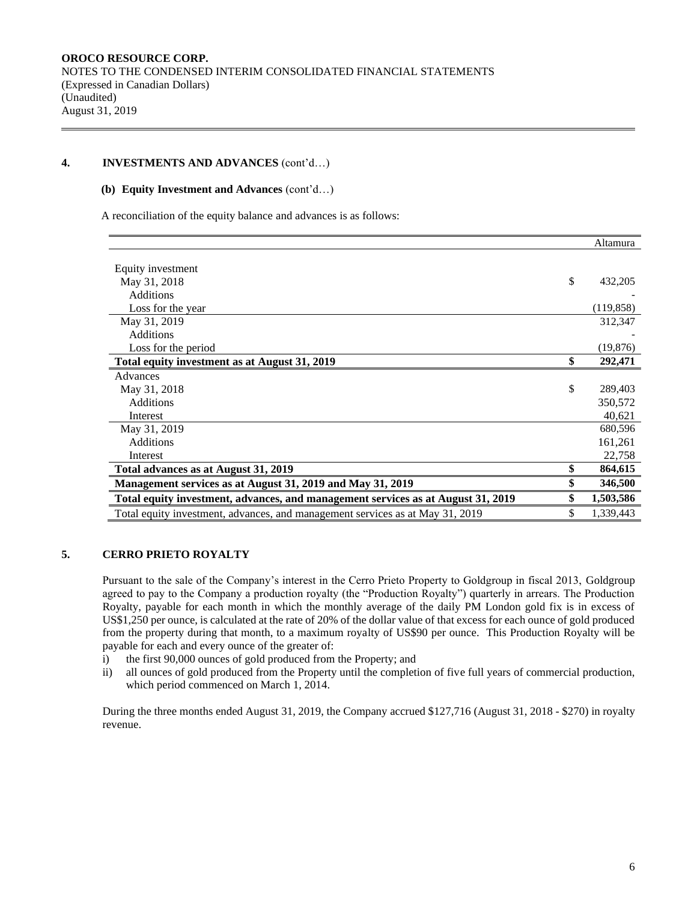### **4. INVESTMENTS AND ADVANCES** (cont'd…)

#### **(b) Equity Investment and Advances** (cont'd…)

A reconciliation of the equity balance and advances is as follows:

|                                                                                  | Altamura        |
|----------------------------------------------------------------------------------|-----------------|
|                                                                                  |                 |
| Equity investment                                                                |                 |
| May 31, 2018                                                                     | \$<br>432,205   |
| <b>Additions</b>                                                                 |                 |
| Loss for the year                                                                | (119, 858)      |
| May 31, 2019                                                                     | 312,347         |
| <b>Additions</b>                                                                 |                 |
| Loss for the period                                                              | (19, 876)       |
| Total equity investment as at August 31, 2019                                    | \$<br>292,471   |
| Advances                                                                         |                 |
| May 31, 2018                                                                     | \$<br>289,403   |
| <b>Additions</b>                                                                 | 350,572         |
| Interest                                                                         | 40,621          |
| May 31, 2019                                                                     | 680,596         |
| <b>Additions</b>                                                                 | 161,261         |
| Interest                                                                         | 22,758          |
| Total advances as at August 31, 2019                                             | \$<br>864,615   |
| Management services as at August 31, 2019 and May 31, 2019                       | 346,500         |
| Total equity investment, advances, and management services as at August 31, 2019 | 1,503,586       |
| Total equity investment, advances, and management services as at May 31, 2019    | \$<br>1,339,443 |

## **5. CERRO PRIETO ROYALTY**

Pursuant to the sale of the Company's interest in the Cerro Prieto Property to Goldgroup in fiscal 2013, Goldgroup agreed to pay to the Company a production royalty (the "Production Royalty") quarterly in arrears. The Production Royalty, payable for each month in which the monthly average of the daily PM London gold fix is in excess of US\$1,250 per ounce, is calculated at the rate of 20% of the dollar value of that excess for each ounce of gold produced from the property during that month, to a maximum royalty of US\$90 per ounce. This Production Royalty will be payable for each and every ounce of the greater of:

- i) the first 90,000 ounces of gold produced from the Property; and
- ii) all ounces of gold produced from the Property until the completion of five full years of commercial production, which period commenced on March 1, 2014.

During the three months ended August 31, 2019, the Company accrued \$127,716 (August 31, 2018 - \$270) in royalty revenue.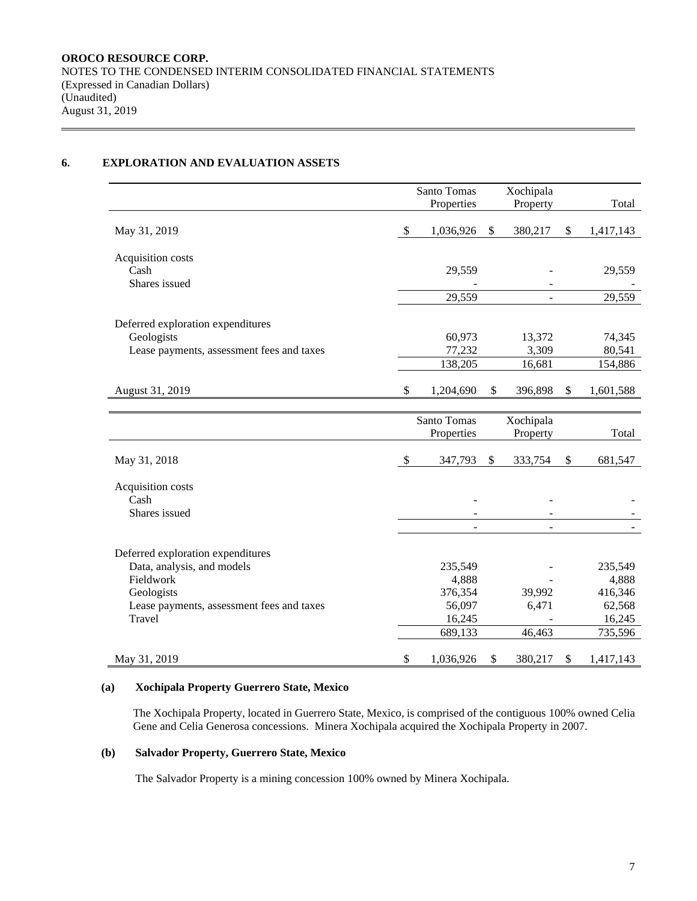# **6. EXPLORATION AND EVALUATION ASSETS**

|                                                                                                                                                   |                           | Santo Tomas                                                | Xochipala                 |              |                                                            |
|---------------------------------------------------------------------------------------------------------------------------------------------------|---------------------------|------------------------------------------------------------|---------------------------|--------------|------------------------------------------------------------|
|                                                                                                                                                   |                           | Properties                                                 | Property                  |              | Total                                                      |
| May 31, 2019                                                                                                                                      | $\boldsymbol{\mathsf{S}}$ | 1,036,926                                                  | \$<br>380,217             | \$           | 1,417,143                                                  |
| Acquisition costs<br>Cash<br>Shares issued                                                                                                        |                           | 29,559                                                     |                           |              | 29,559                                                     |
|                                                                                                                                                   |                           | 29,559                                                     |                           |              | 29,559                                                     |
| Deferred exploration expenditures<br>Geologists                                                                                                   |                           | 60,973                                                     | 13,372                    |              | 74,345                                                     |
| Lease payments, assessment fees and taxes                                                                                                         |                           | 77,232                                                     | 3,309                     |              | 80,541                                                     |
|                                                                                                                                                   |                           | 138,205                                                    | 16,681                    |              | 154,886                                                    |
| August 31, 2019                                                                                                                                   | \$                        | 1,204,690                                                  | \$<br>396,898             | $\mathbb{S}$ | 1,601,588                                                  |
|                                                                                                                                                   |                           | Santo Tomas<br>Properties                                  | Xochipala<br>Property     |              | Total                                                      |
| May 31, 2018                                                                                                                                      | \$                        | 347,793                                                    | \$<br>333,754             | \$           | 681,547                                                    |
| Acquisition costs<br>Cash<br>Shares issued                                                                                                        |                           | $\blacksquare$<br>$\blacksquare$                           | $\blacksquare$            |              |                                                            |
| Deferred exploration expenditures<br>Data, analysis, and models<br>Fieldwork<br>Geologists<br>Lease payments, assessment fees and taxes<br>Travel |                           | 235,549<br>4,888<br>376,354<br>56,097<br>16,245<br>689,133 | 39,992<br>6,471<br>46,463 |              | 235,549<br>4,888<br>416,346<br>62,568<br>16,245<br>735,596 |
| May 31, 2019                                                                                                                                      | \$                        | 1,036,926                                                  | \$<br>380,217             | \$           | 1,417,143                                                  |

# **(a) Xochipala Property Guerrero State, Mexico**

The Xochipala Property, located in Guerrero State, Mexico, is comprised of the contiguous 100% owned Celia Gene and Celia Generosa concessions. Minera Xochipala acquired the Xochipala Property in 2007.

# **(b) Salvador Property, Guerrero State, Mexico**

The Salvador Property is a mining concession 100% owned by Minera Xochipala.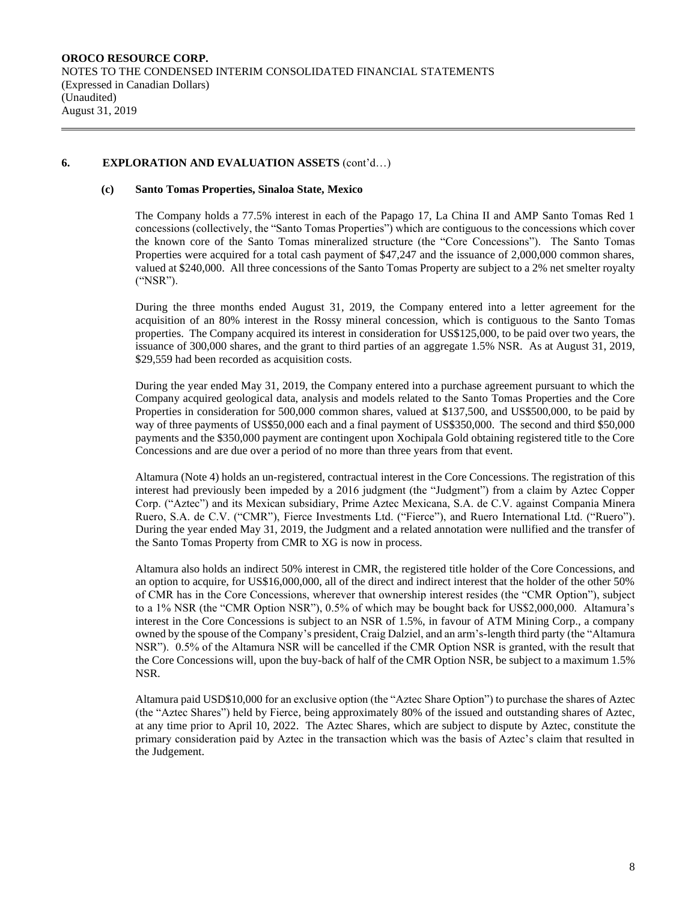## **6. EXPLORATION AND EVALUATION ASSETS** (cont'd…)

#### **(c) Santo Tomas Properties, Sinaloa State, Mexico**

The Company holds a 77.5% interest in each of the Papago 17, La China II and AMP Santo Tomas Red 1 concessions (collectively, the "Santo Tomas Properties") which are contiguous to the concessions which cover the known core of the Santo Tomas mineralized structure (the "Core Concessions"). The Santo Tomas Properties were acquired for a total cash payment of \$47,247 and the issuance of 2,000,000 common shares, valued at \$240,000. All three concessions of the Santo Tomas Property are subject to a 2% net smelter royalty ("NSR").

During the three months ended August 31, 2019, the Company entered into a letter agreement for the acquisition of an 80% interest in the Rossy mineral concession, which is contiguous to the Santo Tomas properties. The Company acquired its interest in consideration for US\$125,000, to be paid over two years, the issuance of 300,000 shares, and the grant to third parties of an aggregate 1.5% NSR. As at August 31, 2019, \$29,559 had been recorded as acquisition costs.

During the year ended May 31, 2019, the Company entered into a purchase agreement pursuant to which the Company acquired geological data, analysis and models related to the Santo Tomas Properties and the Core Properties in consideration for 500,000 common shares, valued at \$137,500, and US\$500,000, to be paid by way of three payments of US\$50,000 each and a final payment of US\$350,000. The second and third \$50,000 payments and the \$350,000 payment are contingent upon Xochipala Gold obtaining registered title to the Core Concessions and are due over a period of no more than three years from that event.

Altamura (Note 4) holds an un-registered, contractual interest in the Core Concessions. The registration of this interest had previously been impeded by a 2016 judgment (the "Judgment") from a claim by Aztec Copper Corp. ("Aztec") and its Mexican subsidiary, Prime Aztec Mexicana, S.A. de C.V. against Compania Minera Ruero, S.A. de C.V. ("CMR"), Fierce Investments Ltd. ("Fierce"), and Ruero International Ltd. ("Ruero"). During the year ended May 31, 2019, the Judgment and a related annotation were nullified and the transfer of the Santo Tomas Property from CMR to XG is now in process.

Altamura also holds an indirect 50% interest in CMR, the registered title holder of the Core Concessions, and an option to acquire, for US\$16,000,000, all of the direct and indirect interest that the holder of the other 50% of CMR has in the Core Concessions, wherever that ownership interest resides (the "CMR Option"), subject to a 1% NSR (the "CMR Option NSR"), 0.5% of which may be bought back for US\$2,000,000. Altamura's interest in the Core Concessions is subject to an NSR of 1.5%, in favour of ATM Mining Corp., a company owned by the spouse of the Company's president, Craig Dalziel, and an arm's-length third party (the "Altamura NSR"). 0.5% of the Altamura NSR will be cancelled if the CMR Option NSR is granted, with the result that the Core Concessions will, upon the buy-back of half of the CMR Option NSR, be subject to a maximum 1.5% NSR.

Altamura paid USD\$10,000 for an exclusive option (the "Aztec Share Option") to purchase the shares of Aztec (the "Aztec Shares") held by Fierce, being approximately 80% of the issued and outstanding shares of Aztec, at any time prior to April 10, 2022. The Aztec Shares, which are subject to dispute by Aztec, constitute the primary consideration paid by Aztec in the transaction which was the basis of Aztec's claim that resulted in the Judgement.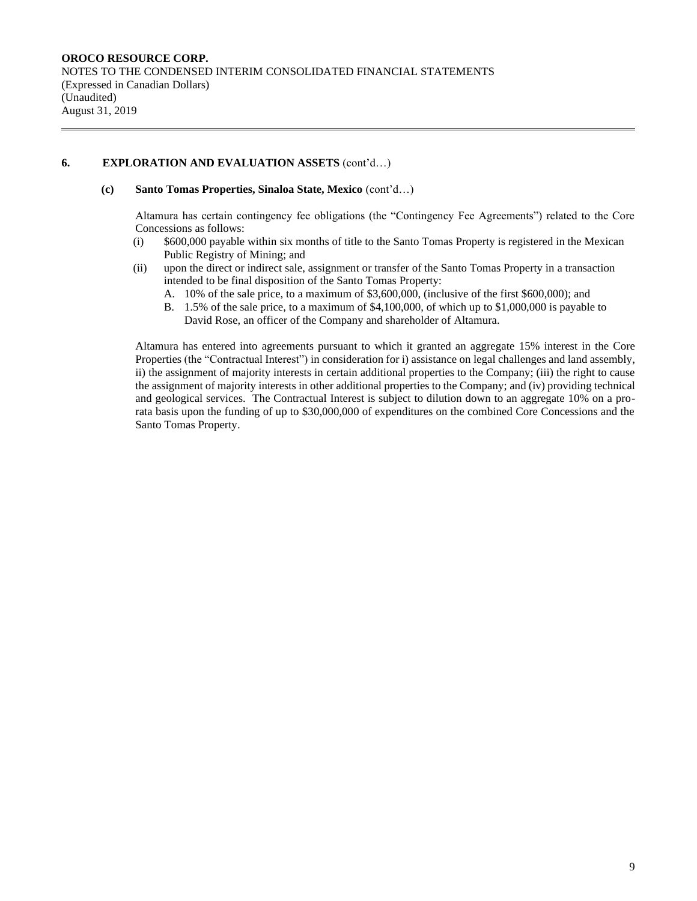## **6. EXPLORATION AND EVALUATION ASSETS** (cont'd…)

#### **(c) Santo Tomas Properties, Sinaloa State, Mexico** (cont'd…)

Altamura has certain contingency fee obligations (the "Contingency Fee Agreements") related to the Core Concessions as follows:

- (i) \$600,000 payable within six months of title to the Santo Tomas Property is registered in the Mexican Public Registry of Mining; and
- (ii) upon the direct or indirect sale, assignment or transfer of the Santo Tomas Property in a transaction intended to be final disposition of the Santo Tomas Property:
	- A. 10% of the sale price, to a maximum of \$3,600,000, (inclusive of the first \$600,000); and
	- B. 1.5% of the sale price, to a maximum of \$4,100,000, of which up to \$1,000,000 is payable to David Rose, an officer of the Company and shareholder of Altamura.

Altamura has entered into agreements pursuant to which it granted an aggregate 15% interest in the Core Properties (the "Contractual Interest") in consideration for i) assistance on legal challenges and land assembly, ii) the assignment of majority interests in certain additional properties to the Company; (iii) the right to cause the assignment of majority interests in other additional properties to the Company; and (iv) providing technical and geological services. The Contractual Interest is subject to dilution down to an aggregate 10% on a prorata basis upon the funding of up to \$30,000,000 of expenditures on the combined Core Concessions and the Santo Tomas Property.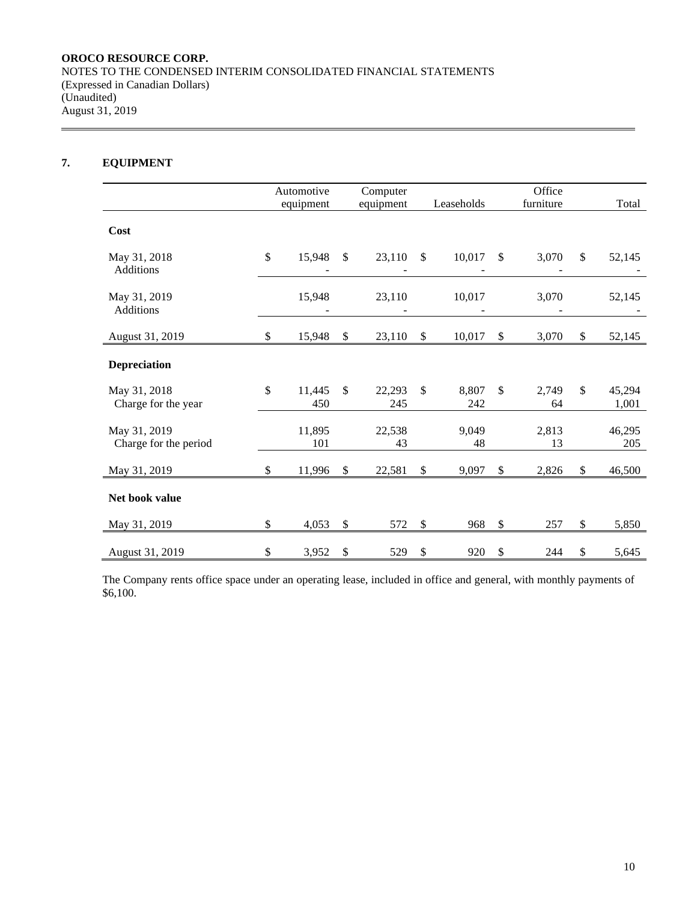# **7. EQUIPMENT**

|                                       |              | Automotive    |               | Computer      |               |              |                         | Office      |                       |
|---------------------------------------|--------------|---------------|---------------|---------------|---------------|--------------|-------------------------|-------------|-----------------------|
|                                       |              | equipment     |               | equipment     |               | Leaseholds   |                         | furniture   | Total                 |
| Cost                                  |              |               |               |               |               |              |                         |             |                       |
| May 31, 2018<br>Additions             | $\mathbb{S}$ | 15,948        | $\mathcal{S}$ | 23,110        | $\mathcal{S}$ | 10,017       | \$                      | 3,070       | \$<br>52,145          |
| May 31, 2019<br>Additions             |              | 15,948        |               | 23,110        |               | 10,017       |                         | 3,070       | 52,145                |
| August 31, 2019                       | \$           | 15,948        | $\mathcal{S}$ | 23,110        | \$            | 10,017       | $\sqrt[6]{\frac{1}{2}}$ | 3,070       | \$<br>52,145          |
| Depreciation                          |              |               |               |               |               |              |                         |             |                       |
| May 31, 2018<br>Charge for the year   | \$           | 11,445<br>450 | $\mathbb{S}$  | 22,293<br>245 | \$            | 8,807<br>242 | $\mathbb{S}$            | 2,749<br>64 | \$<br>45,294<br>1,001 |
| May 31, 2019<br>Charge for the period |              | 11,895<br>101 |               | 22,538<br>43  |               | 9,049<br>48  |                         | 2,813<br>13 | 46,295<br>205         |
| May 31, 2019                          | \$           | 11,996        | $\mathbb{S}$  | 22,581        | \$            | 9,097        | $\mathbb{S}$            | 2,826       | \$<br>46,500          |
| Net book value                        |              |               |               |               |               |              |                         |             |                       |
| May 31, 2019                          | \$           | 4,053         | \$            | 572           | \$            | 968          | $\mathbb{S}$            | 257         | \$<br>5,850           |
| August 31, 2019                       | \$           | 3,952         | \$            | 529           | \$            | 920          | \$                      | 244         | \$<br>5,645           |

The Company rents office space under an operating lease, included in office and general, with monthly payments of \$6,100.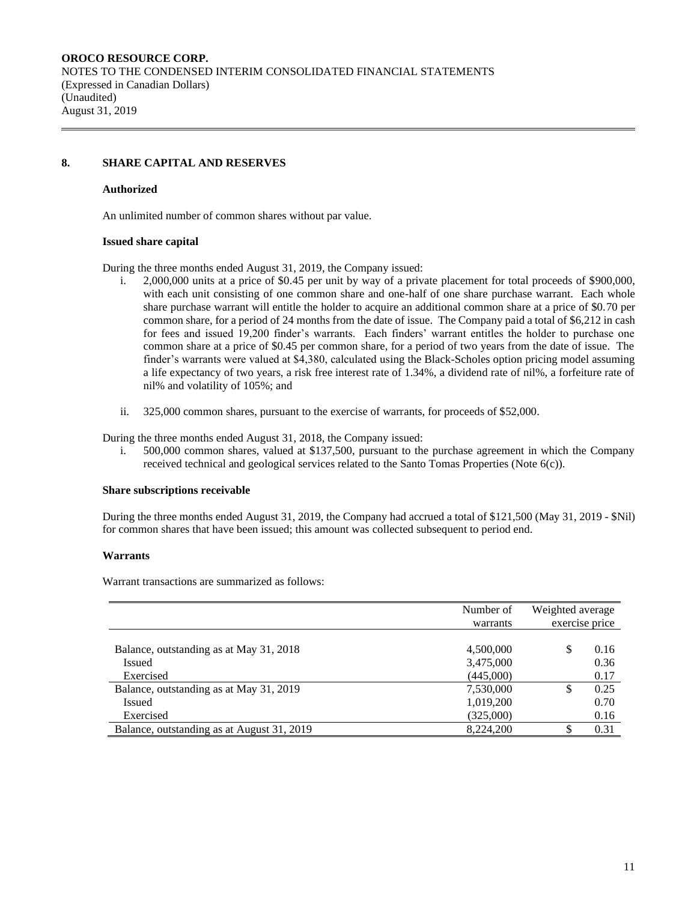## **8. SHARE CAPITAL AND RESERVES**

#### **Authorized**

An unlimited number of common shares without par value.

#### **Issued share capital**

During the three months ended August 31, 2019, the Company issued:

- i. 2,000,000 units at a price of \$0.45 per unit by way of a private placement for total proceeds of \$900,000, with each unit consisting of one common share and one-half of one share purchase warrant. Each whole share purchase warrant will entitle the holder to acquire an additional common share at a price of \$0.70 per common share, for a period of 24 months from the date of issue. The Company paid a total of \$6,212 in cash for fees and issued 19,200 finder's warrants. Each finders' warrant entitles the holder to purchase one common share at a price of \$0.45 per common share, for a period of two years from the date of issue. The finder's warrants were valued at \$4,380, calculated using the Black-Scholes option pricing model assuming a life expectancy of two years, a risk free interest rate of 1.34%, a dividend rate of nil%, a forfeiture rate of nil% and volatility of 105%; and
- ii. 325,000 common shares, pursuant to the exercise of warrants, for proceeds of \$52,000.

During the three months ended August 31, 2018, the Company issued:

i. 500,000 common shares, valued at \$137,500, pursuant to the purchase agreement in which the Company received technical and geological services related to the Santo Tomas Properties (Note 6(c)).

#### **Share subscriptions receivable**

During the three months ended August 31, 2019, the Company had accrued a total of \$121,500 (May 31, 2019 - \$Nil) for common shares that have been issued; this amount was collected subsequent to period end.

#### **Warrants**

Warrant transactions are summarized as follows:

|                                            | Number of | Weighted average |                |
|--------------------------------------------|-----------|------------------|----------------|
|                                            | warrants  |                  | exercise price |
|                                            |           |                  |                |
| Balance, outstanding as at May 31, 2018    | 4,500,000 | S                | 0.16           |
| <b>Issued</b>                              | 3,475,000 |                  | 0.36           |
| Exercised                                  | (445,000) |                  | 0.17           |
| Balance, outstanding as at May 31, 2019    | 7,530,000 | S                | 0.25           |
| Issued                                     | 1,019,200 |                  | 0.70           |
| Exercised                                  | (325,000) |                  | 0.16           |
| Balance, outstanding as at August 31, 2019 | 8,224,200 |                  | 0.31           |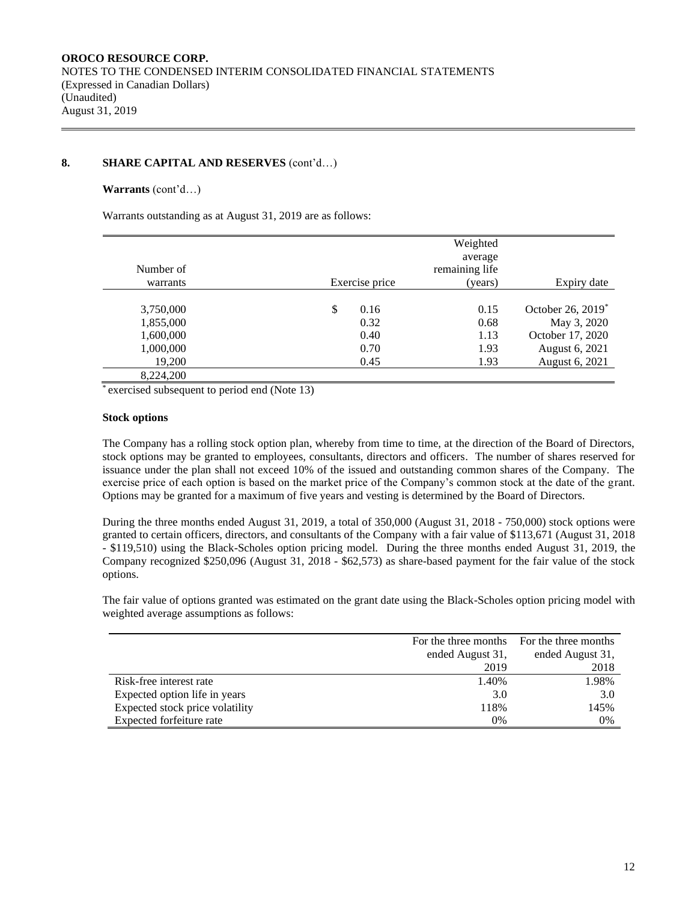## **8. SHARE CAPITAL AND RESERVES** (cont'd…)

#### **Warrants** (cont'd…)

Warrants outstanding as at August 31, 2019 are as follows:

|           | Weighted<br>average |                |                               |  |  |  |
|-----------|---------------------|----------------|-------------------------------|--|--|--|
| Number of |                     | remaining life |                               |  |  |  |
| warrants  | Exercise price      | (years)        | Expiry date                   |  |  |  |
|           |                     |                |                               |  |  |  |
| 3,750,000 | \$<br>0.16          | 0.15           | October 26, 2019 <sup>*</sup> |  |  |  |
| 1,855,000 | 0.32                | 0.68           | May 3, 2020                   |  |  |  |
| 1,600,000 | 0.40                | 1.13           | October 17, 2020              |  |  |  |
| 1,000,000 | 0.70                | 1.93           | August 6, 2021                |  |  |  |
| 19,200    | 0.45                | 1.93           | August 6, 2021                |  |  |  |
| 8 224 200 |                     |                |                               |  |  |  |

\* exercised subsequent to period end (Note 13)

#### **Stock options**

The Company has a rolling stock option plan, whereby from time to time, at the direction of the Board of Directors, stock options may be granted to employees, consultants, directors and officers. The number of shares reserved for issuance under the plan shall not exceed 10% of the issued and outstanding common shares of the Company. The exercise price of each option is based on the market price of the Company's common stock at the date of the grant. Options may be granted for a maximum of five years and vesting is determined by the Board of Directors.

During the three months ended August 31, 2019, a total of 350,000 (August 31, 2018 - 750,000) stock options were granted to certain officers, directors, and consultants of the Company with a fair value of \$113,671 (August 31, 2018 - \$119,510) using the Black-Scholes option pricing model. During the three months ended August 31, 2019, the Company recognized \$250,096 (August 31, 2018 - \$62,573) as share-based payment for the fair value of the stock options.

The fair value of options granted was estimated on the grant date using the Black-Scholes option pricing model with weighted average assumptions as follows:

|                                 | For the three months | For the three months |
|---------------------------------|----------------------|----------------------|
|                                 | ended August 31,     | ended August 31,     |
|                                 | 2019                 | 2018                 |
| Risk-free interest rate         | 1.40%                | 1.98%                |
| Expected option life in years   | 3.0                  | 3.0                  |
| Expected stock price volatility | 118%                 | 145%                 |
| Expected forfeiture rate        | 0%                   | 0%                   |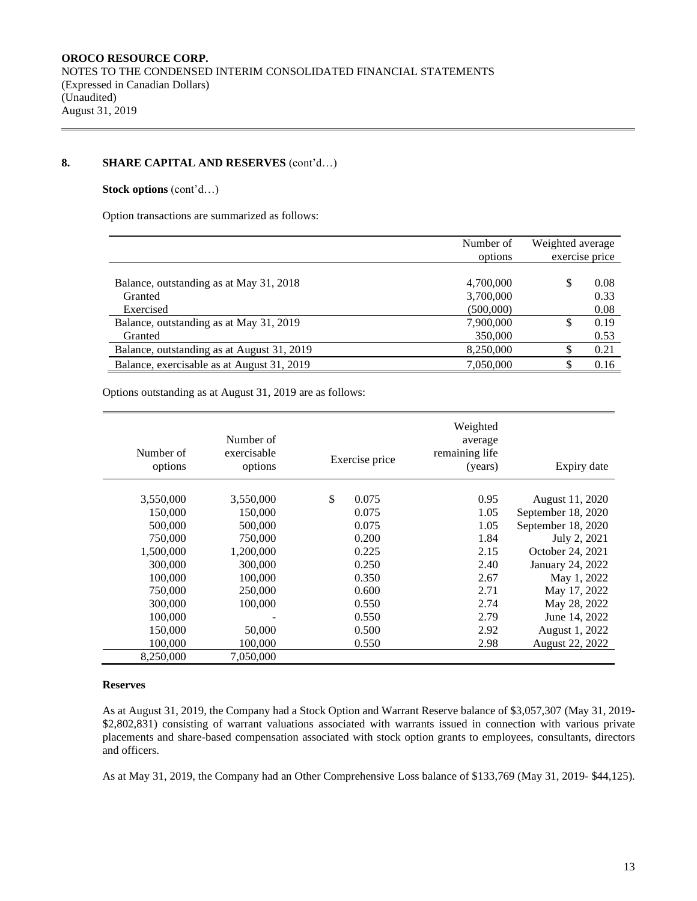# **8. SHARE CAPITAL AND RESERVES** (cont'd…)

#### **Stock options** (cont'd…)

Option transactions are summarized as follows:

|                                            | Number of | Weighted average |      |  |  |
|--------------------------------------------|-----------|------------------|------|--|--|
|                                            | options   | exercise price   |      |  |  |
|                                            |           |                  |      |  |  |
| Balance, outstanding as at May 31, 2018    | 4,700,000 |                  | 0.08 |  |  |
| Granted                                    | 3,700,000 |                  | 0.33 |  |  |
| Exercised                                  | (500,000) |                  | 0.08 |  |  |
| Balance, outstanding as at May 31, 2019    | 7,900,000 |                  | 0.19 |  |  |
| Granted                                    | 350,000   |                  | 0.53 |  |  |
| Balance, outstanding as at August 31, 2019 | 8,250,000 |                  | 0.21 |  |  |
| Balance, exercisable as at August 31, 2019 | 7,050,000 |                  | 0.16 |  |  |

Options outstanding as at August 31, 2019 are as follows:

| Number of<br>options | Number of<br>exercisable<br>options | Exercise price | Weighted<br>average<br>remaining life<br>(years) | Expiry date        |
|----------------------|-------------------------------------|----------------|--------------------------------------------------|--------------------|
| 3,550,000            | 3,550,000                           | \$<br>0.075    | 0.95                                             | August 11, 2020    |
| 150,000              | 150,000                             | 0.075          | 1.05                                             | September 18, 2020 |
| 500,000              | 500,000                             | 0.075          | 1.05                                             | September 18, 2020 |
| 750,000              | 750,000                             | 0.200          | 1.84                                             | July 2, 2021       |
| 1,500,000            | 1,200,000                           | 0.225          | 2.15                                             | October 24, 2021   |
| 300,000              | 300,000                             | 0.250          | 2.40                                             | January 24, 2022   |
| 100,000              | 100,000                             | 0.350          | 2.67                                             | May 1, 2022        |
| 750,000              | 250,000                             | 0.600          | 2.71                                             | May 17, 2022       |
| 300,000              | 100,000                             | 0.550          | 2.74                                             | May 28, 2022       |
| 100,000              |                                     | 0.550          | 2.79                                             | June 14, 2022      |
| 150,000              | 50,000                              | 0.500          | 2.92                                             | August 1, 2022     |
| 100,000              | 100,000                             | 0.550          | 2.98                                             | August 22, 2022    |
| 8,250,000            | 7,050,000                           |                |                                                  |                    |

#### **Reserves**

As at August 31, 2019, the Company had a Stock Option and Warrant Reserve balance of \$3,057,307 (May 31, 2019- \$2,802,831) consisting of warrant valuations associated with warrants issued in connection with various private placements and share-based compensation associated with stock option grants to employees, consultants, directors and officers.

As at May 31, 2019, the Company had an Other Comprehensive Loss balance of \$133,769 (May 31, 2019- \$44,125).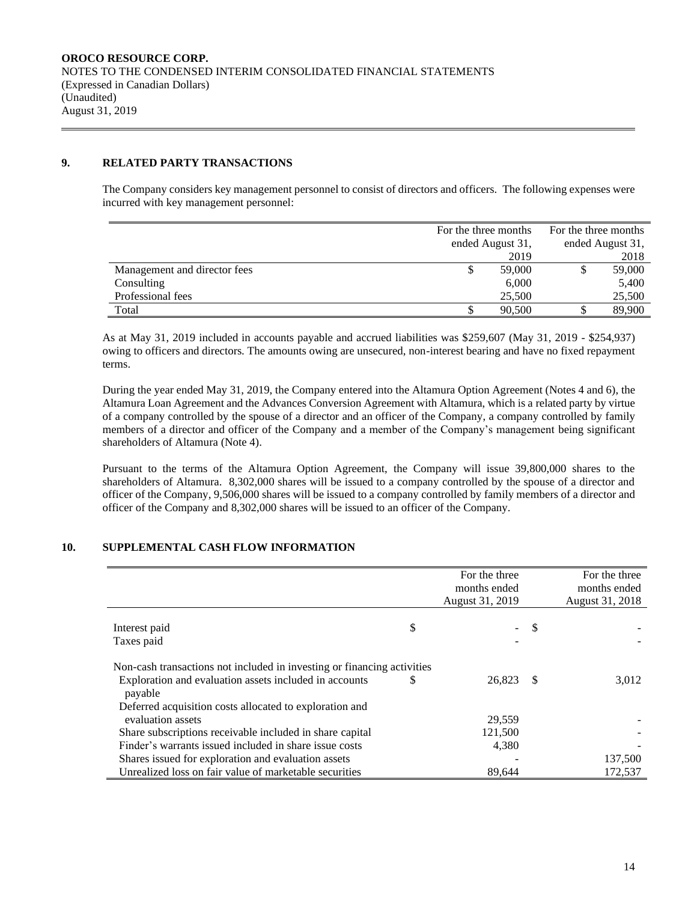## **9. RELATED PARTY TRANSACTIONS**

The Company considers key management personnel to consist of directors and officers. The following expenses were incurred with key management personnel:

|                              | For the three months |        | For the three months |                  |  |
|------------------------------|----------------------|--------|----------------------|------------------|--|
|                              | ended August 31,     |        |                      | ended August 31, |  |
|                              |                      | 2019   |                      | 2018             |  |
| Management and director fees | S.                   | 59,000 |                      | 59,000           |  |
| Consulting                   |                      | 6,000  |                      | 5,400            |  |
| Professional fees            |                      | 25,500 |                      | 25,500           |  |
| Total                        |                      | 90,500 |                      | 89,900           |  |

As at May 31, 2019 included in accounts payable and accrued liabilities was \$259,607 (May 31, 2019 - \$254,937) owing to officers and directors. The amounts owing are unsecured, non-interest bearing and have no fixed repayment terms.

During the year ended May 31, 2019, the Company entered into the Altamura Option Agreement (Notes 4 and 6), the Altamura Loan Agreement and the Advances Conversion Agreement with Altamura, which is a related party by virtue of a company controlled by the spouse of a director and an officer of the Company, a company controlled by family members of a director and officer of the Company and a member of the Company's management being significant shareholders of Altamura (Note 4).

Pursuant to the terms of the Altamura Option Agreement, the Company will issue 39,800,000 shares to the shareholders of Altamura. 8,302,000 shares will be issued to a company controlled by the spouse of a director and officer of the Company, 9,506,000 shares will be issued to a company controlled by family members of a director and officer of the Company and 8,302,000 shares will be issued to an officer of the Company.

# **10. SUPPLEMENTAL CASH FLOW INFORMATION**

|                                                                                                                                              |    | For the three<br>months ended<br>August 31, 2019 |    | For the three<br>months ended<br>August 31, 2018 |
|----------------------------------------------------------------------------------------------------------------------------------------------|----|--------------------------------------------------|----|--------------------------------------------------|
| Interest paid<br>Taxes paid                                                                                                                  | \$ |                                                  | \$ |                                                  |
| Non-cash transactions not included in investing or financing activities<br>Exploration and evaluation assets included in accounts<br>payable | S  | 26.823                                           | -S | 3.012                                            |
| Deferred acquisition costs allocated to exploration and<br>evaluation assets                                                                 |    | 29,559                                           |    |                                                  |
| Share subscriptions receivable included in share capital<br>Finder's warrants issued included in share issue costs                           |    | 121,500<br>4,380                                 |    |                                                  |
| Shares issued for exploration and evaluation assets                                                                                          |    |                                                  |    | 137,500                                          |
| Unrealized loss on fair value of marketable securities                                                                                       |    | 89.644                                           |    | 172,537                                          |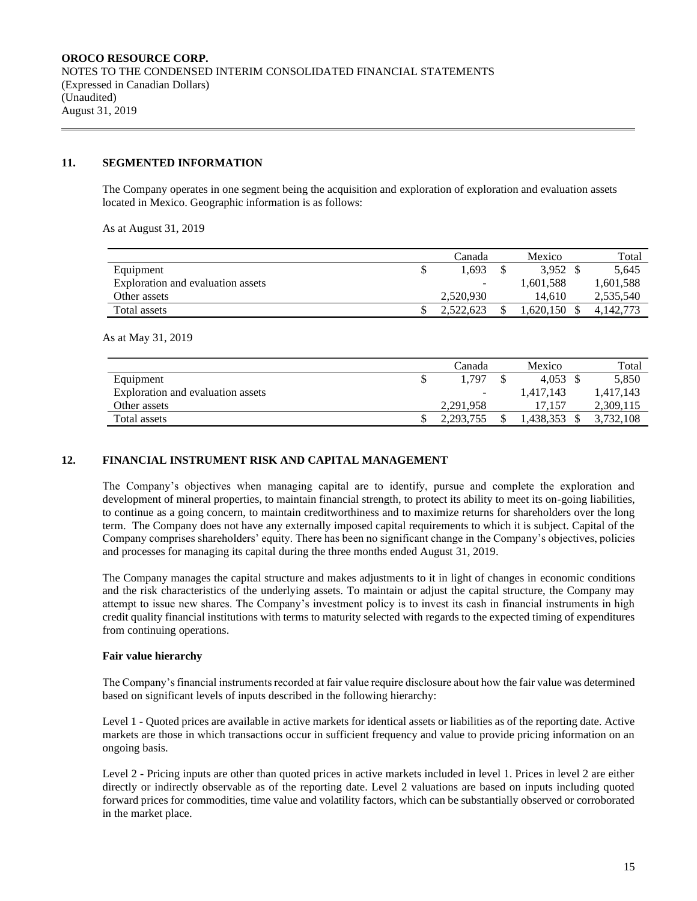## **11. SEGMENTED INFORMATION**

The Company operates in one segment being the acquisition and exploration of exploration and evaluation assets located in Mexico. Geographic information is as follows:

As at August 31, 2019

|                                   | Canada    | Mexico              | Total     |
|-----------------------------------|-----------|---------------------|-----------|
| Equipment                         | 1.693     | $3.952 \text{ }$ \$ | 5.645     |
| Exploration and evaluation assets | -         | 1,601,588           | 1,601,588 |
| Other assets                      | 2.520.930 | 14.610              | 2,535,540 |
| Total assets                      | 2.522.623 | .620.150            | 4.142.773 |

As at May 31, 2019

|                                   | Canada    | Mexico    | Total     |
|-----------------------------------|-----------|-----------|-----------|
| Equipment                         | 1.797     | 4.053     | 5,850     |
| Exploration and evaluation assets | -         | 1.417.143 | 1,417,143 |
| Other assets                      | 2,291,958 | 17.157    | 2,309,115 |
| Total assets                      | 2,293,755 | .438.353  | 3,732,108 |

## **12. FINANCIAL INSTRUMENT RISK AND CAPITAL MANAGEMENT**

The Company's objectives when managing capital are to identify, pursue and complete the exploration and development of mineral properties, to maintain financial strength, to protect its ability to meet its on-going liabilities, to continue as a going concern, to maintain creditworthiness and to maximize returns for shareholders over the long term. The Company does not have any externally imposed capital requirements to which it is subject. Capital of the Company comprises shareholders' equity. There has been no significant change in the Company's objectives, policies and processes for managing its capital during the three months ended August 31, 2019.

The Company manages the capital structure and makes adjustments to it in light of changes in economic conditions and the risk characteristics of the underlying assets. To maintain or adjust the capital structure, the Company may attempt to issue new shares. The Company's investment policy is to invest its cash in financial instruments in high credit quality financial institutions with terms to maturity selected with regards to the expected timing of expenditures from continuing operations.

#### **Fair value hierarchy**

The Company's financial instruments recorded at fair value require disclosure about how the fair value was determined based on significant levels of inputs described in the following hierarchy:

Level 1 - Quoted prices are available in active markets for identical assets or liabilities as of the reporting date. Active markets are those in which transactions occur in sufficient frequency and value to provide pricing information on an ongoing basis.

Level 2 - Pricing inputs are other than quoted prices in active markets included in level 1. Prices in level 2 are either directly or indirectly observable as of the reporting date. Level 2 valuations are based on inputs including quoted forward prices for commodities, time value and volatility factors, which can be substantially observed or corroborated in the market place.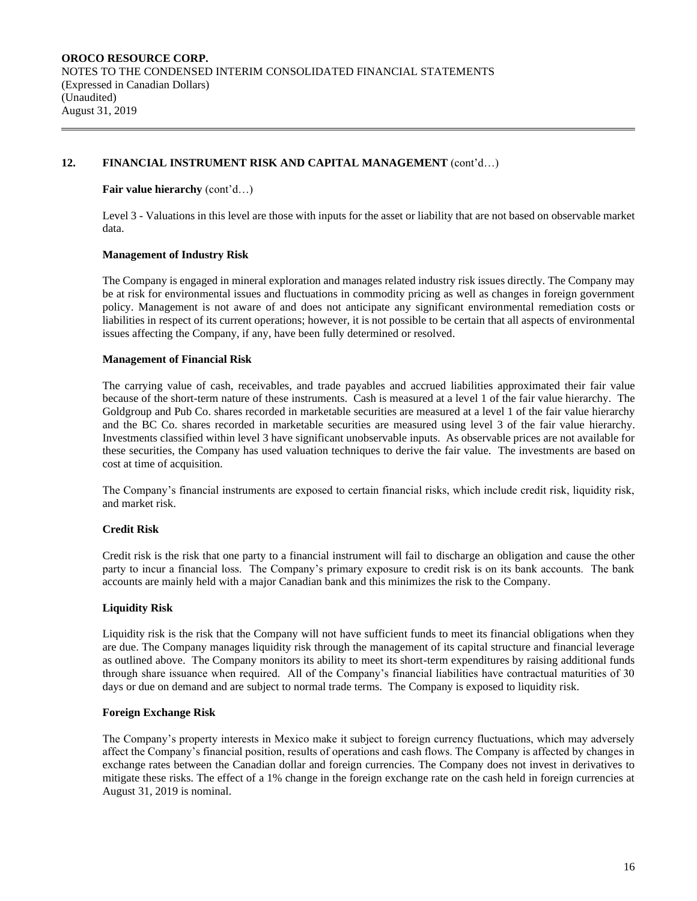## **12. FINANCIAL INSTRUMENT RISK AND CAPITAL MANAGEMENT** (cont'd…)

## **Fair value hierarchy** (cont'd…)

Level 3 - Valuations in this level are those with inputs for the asset or liability that are not based on observable market data.

## **Management of Industry Risk**

The Company is engaged in mineral exploration and manages related industry risk issues directly. The Company may be at risk for environmental issues and fluctuations in commodity pricing as well as changes in foreign government policy. Management is not aware of and does not anticipate any significant environmental remediation costs or liabilities in respect of its current operations; however, it is not possible to be certain that all aspects of environmental issues affecting the Company, if any, have been fully determined or resolved.

## **Management of Financial Risk**

The carrying value of cash, receivables, and trade payables and accrued liabilities approximated their fair value because of the short-term nature of these instruments. Cash is measured at a level 1 of the fair value hierarchy. The Goldgroup and Pub Co. shares recorded in marketable securities are measured at a level 1 of the fair value hierarchy and the BC Co. shares recorded in marketable securities are measured using level 3 of the fair value hierarchy. Investments classified within level 3 have significant unobservable inputs. As observable prices are not available for these securities, the Company has used valuation techniques to derive the fair value. The investments are based on cost at time of acquisition.

The Company's financial instruments are exposed to certain financial risks, which include credit risk, liquidity risk, and market risk.

## **Credit Risk**

Credit risk is the risk that one party to a financial instrument will fail to discharge an obligation and cause the other party to incur a financial loss. The Company's primary exposure to credit risk is on its bank accounts. The bank accounts are mainly held with a major Canadian bank and this minimizes the risk to the Company.

## **Liquidity Risk**

Liquidity risk is the risk that the Company will not have sufficient funds to meet its financial obligations when they are due. The Company manages liquidity risk through the management of its capital structure and financial leverage as outlined above. The Company monitors its ability to meet its short-term expenditures by raising additional funds through share issuance when required. All of the Company's financial liabilities have contractual maturities of 30 days or due on demand and are subject to normal trade terms. The Company is exposed to liquidity risk.

## **Foreign Exchange Risk**

The Company's property interests in Mexico make it subject to foreign currency fluctuations, which may adversely affect the Company's financial position, results of operations and cash flows. The Company is affected by changes in exchange rates between the Canadian dollar and foreign currencies. The Company does not invest in derivatives to mitigate these risks. The effect of a 1% change in the foreign exchange rate on the cash held in foreign currencies at August 31, 2019 is nominal.